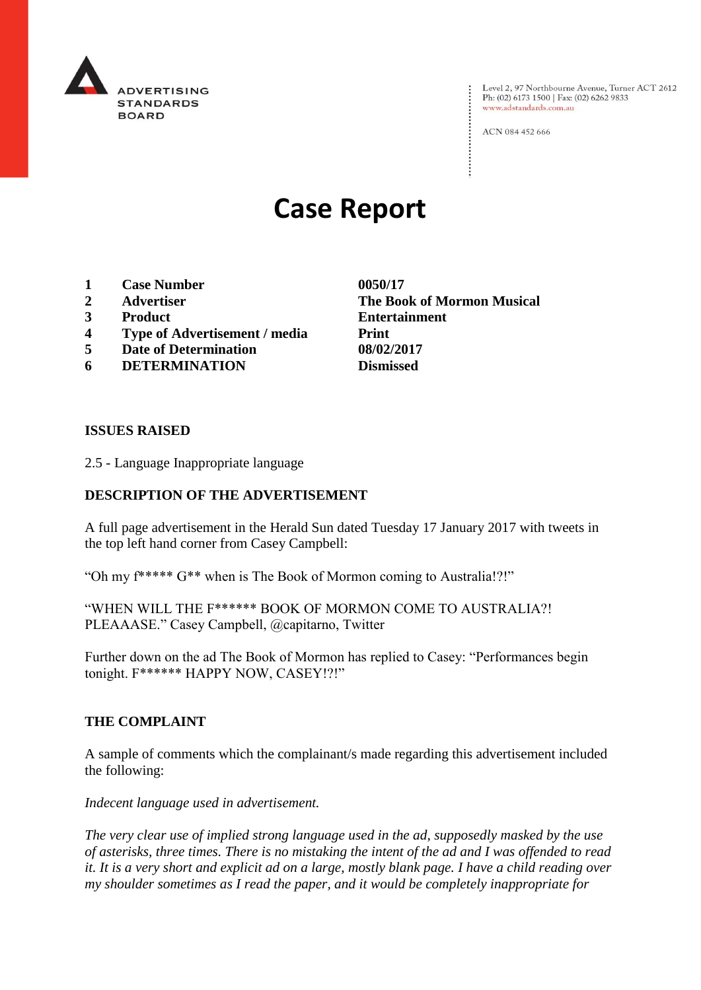

Level 2, 97 Northbourne Avenue, Turner ACT 2612<br>Ph: (02) 6173 1500 | Fax: (02) 6262 9833 www.adstandards.com.au

ACN 084 452 666

# **Case Report**

- **1 Case Number 0050/17**
- 
- 
- **4 Type of Advertisement / media Print**
- **5 Date of Determination 08/02/2017**
- **6 DETERMINATION Dismissed**

**ISSUES RAISED**

2.5 - Language Inappropriate language

## **DESCRIPTION OF THE ADVERTISEMENT**

A full page advertisement in the Herald Sun dated Tuesday 17 January 2017 with tweets in the top left hand corner from Casey Campbell:

"Oh my f\*\*\*\*\* G\*\* when is The Book of Mormon coming to Australia!?!"

"WHEN WILL THE F\*\*\*\*\*\* BOOK OF MORMON COME TO AUSTRALIA?! PLEAAASE." Casey Campbell, @capitarno, Twitter

Further down on the ad The Book of Mormon has replied to Casey: "Performances begin tonight. F\*\*\*\*\*\* HAPPY NOW, CASEY!?!"

#### **THE COMPLAINT**

A sample of comments which the complainant/s made regarding this advertisement included the following:

*Indecent language used in advertisement.*

*The very clear use of implied strong language used in the ad, supposedly masked by the use of asterisks, three times. There is no mistaking the intent of the ad and I was offended to read it. It is a very short and explicit ad on a large, mostly blank page. I have a child reading over my shoulder sometimes as I read the paper, and it would be completely inappropriate for* 

**2 Advertiser The Book of Mormon Musical 3 Product Entertainment**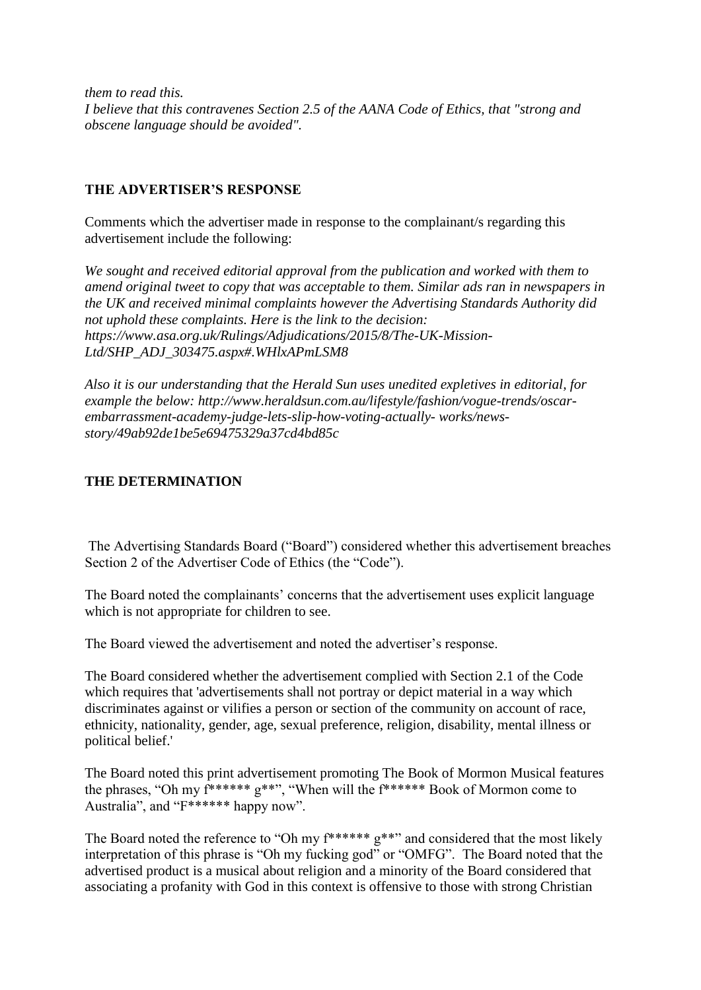*them to read this. I believe that this contravenes Section 2.5 of the AANA Code of Ethics, that "strong and obscene language should be avoided".*

## **THE ADVERTISER'S RESPONSE**

Comments which the advertiser made in response to the complainant/s regarding this advertisement include the following:

*We sought and received editorial approval from the publication and worked with them to amend original tweet to copy that was acceptable to them. Similar ads ran in newspapers in the UK and received minimal complaints however the Advertising Standards Authority did not uphold these complaints. Here is the link to the decision: https://www.asa.org.uk/Rulings/Adjudications/2015/8/The-UK-Mission-Ltd/SHP\_ADJ\_303475.aspx#.WHlxAPmLSM8*

*Also it is our understanding that the Herald Sun uses unedited expletives in editorial, for example the below: http://www.heraldsun.com.au/lifestyle/fashion/vogue-trends/oscarembarrassment-academy-judge-lets-slip-how-voting-actually- works/newsstory/49ab92de1be5e69475329a37cd4bd85c*

# **THE DETERMINATION**

The Advertising Standards Board ("Board") considered whether this advertisement breaches Section 2 of the Advertiser Code of Ethics (the "Code").

The Board noted the complainants' concerns that the advertisement uses explicit language which is not appropriate for children to see.

The Board viewed the advertisement and noted the advertiser's response.

The Board considered whether the advertisement complied with Section 2.1 of the Code which requires that 'advertisements shall not portray or depict material in a way which discriminates against or vilifies a person or section of the community on account of race, ethnicity, nationality, gender, age, sexual preference, religion, disability, mental illness or political belief.'

The Board noted this print advertisement promoting The Book of Mormon Musical features the phrases, "Oh my f\*\*\*\*\*\* g\*\*", "When will the f\*\*\*\*\*\* Book of Mormon come to Australia", and "F\*\*\*\*\*\* happy now".

The Board noted the reference to "Oh my f\*\*\*\*\*\*  $g^{**}$ " and considered that the most likely interpretation of this phrase is "Oh my fucking god" or "OMFG". The Board noted that the advertised product is a musical about religion and a minority of the Board considered that associating a profanity with God in this context is offensive to those with strong Christian